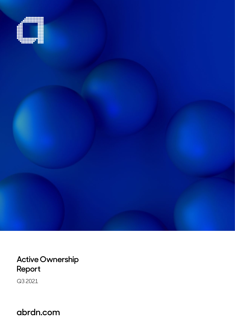

**Active Ownership Report**

Q3 2021

**abrdn.com**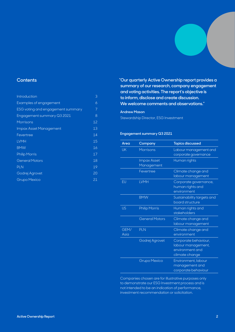### **Contents**

| Introduction                      | 3  |
|-----------------------------------|----|
| Examples of engagement            | 6  |
| ESG voting and engagement summary | 7  |
| Engagement summary Q3 2021        | 8  |
| Morrisons                         | 12 |
| Impax Asset Management            | 13 |
| Fevertree                         | 14 |
| <b>LVMH</b>                       | 15 |
| <b>BMW</b>                        | 16 |
| <b>Philip Morris</b>              | 17 |
| <b>General Motors</b>             | 18 |
| <b>PLN</b>                        | 19 |
| Godrej Agrovet                    | 20 |
| <b>Grupo Mexico</b>               | 21 |
|                                   |    |

**"Our quarterly Active Ownership report provides a summary of our research, company engagement and voting activities. The report's objective is to inform, disclose and create discussion. We welcome comments and observations."**

### **Andrew Mason**

Stewardship Director, ESG Investment

### **Engagement summary Q3 2021**

| Area         | Company                          | <b>Topics discussed</b>                                                         |
|--------------|----------------------------------|---------------------------------------------------------------------------------|
| UK           | <b>Morrisons</b>                 | Labour management and<br>corporate governance                                   |
|              | <b>Impax Asset</b><br>Management | Human rights                                                                    |
|              | Fevertree                        | Climate change and<br>labour management                                         |
| EU           | <b>LVMH</b>                      | Corporate governance,<br>human rights and<br>environment                        |
|              | <b>BMW</b>                       | Sustainability targets and<br>board structure                                   |
| <b>US</b>    | <b>Philip Morris</b>             | Human rights and<br>stakeholders                                                |
|              | <b>General Motors</b>            | Climate change and<br>labour management                                         |
| GEM/<br>Asia | PLN                              | Climate change and<br>environment                                               |
|              | Godrej Agrovet                   | Corporate behaviour,<br>labour management,<br>environment and<br>climate change |
|              | <b>Grupo Mexico</b>              | Environment, labour<br>management and<br>corporate behaviour                    |

Companies chosen are for illustrative purposes only to demonstrate our ESG Investment process and is not intended to be an indication of performance, investment recommendation or solicitation.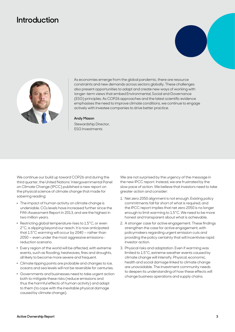## <span id="page-2-0"></span>**Introduction**





As economies emerge from the global pandemic, there are resource constraints and new demands across sectors globally. These challenges also present opportunities to adapt and create new ways of working with longer-term views that embed Environmental, Social and Governance (ESG) principles. As COP26 approaches and the latest scientific evidence emphasises the need to improve climate conditions, we continue to engage actively with investee companies to drive better practice.

#### **Andy Mason**

Stewardship Director, ESG Investments

We continue our build up toward COP26 and during the third quarter, the United Nations' Intergovernmental Panel on Climate Change (IPCC) published a new report on the physical science of climate change that made for sobering reading:

- . The impact of human activity on climate change is undeniable. CO₂ levels have increased further since the Fifth Assessment Report in 2013, and are the highest in two million years.
- . Restricting global temperature rises to 1.5°C, or even 2°C, is slipping beyond our reach. It is now anticipated that 1.5°C warming will occur by 2040 — rather than 2050 — even under the most aggressive emissionsreduction scenario.
- . Every region of the world will be affected, with extreme events, such as flooding, heatwaves, fires and droughts, all likely to become more severe and frequent.
- . Climate tipping points are probable and changes to ice, oceans and sea levels will not be reversible for centuries.
- . Governments and businesses need to take urgent action both to mitigate these risks (reduce emissions and thus the harmful effects of human activity) and adapt to them (to cope with the inevitable physical damage caused by climate change).

We are not surprised by the urgency of the message in the new IPCC report. Instead, we are frustrated by the slow pace of action. We believe that investors need to take greater action and consider:

- 1. Net zero 2050 alignment is not enough. Existing policy commitments fall far short of what is required, and the IPCC report implies that net zero 2050 is no longer enough to limit warming to 1.5°C. We need to be more honest and transparent about what is achievable.
- 2. A stronger case for active engagement. These findings strengthen the case for active engagement, with policymakers regarding urgent emission cuts and providing the policy certainty that will incentivise rapid investor action.
- 3. Physical risks and adaptation. Even if warming was limited to 1.5°C, extreme weather events caused by climate change will intensify. Physical, economic, health and social damage linked to climate change are unavoidable. The investment community needs to deepen its understanding of how these effects will change business operations and supply chains.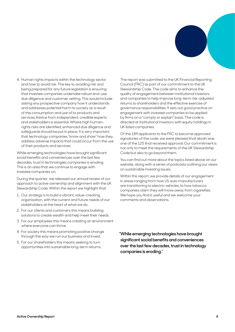

4. Human rights impacts within the technology sector and how to avoid risk. The key to avoiding risk and being prepared for any future legislation is ensuring that investee companies undertake robust end-use due diligence and customer vetting. This would include asking any prospective company how it understands and addresses potential harm to society as a result of the consumption and use of its products and services.Advice from independent, credible experts and stakeholders is essential. Where high humanrights risks are identified, enhanced due diligence and safeguards should be put in place. It is very important that technology companies "know and show" how they address adverse impacts that could occur from the use of their products and services.

While emerging technologies have brought significant social benefits and conveniences over the last few decades, trust in technologies companies is eroding. This is an area that we continue to engage with investee companies on.

During the quarter, we released our annual review of our approach to active ownership and alignment with the UK Stewardship Code. Within the report we highlight that:

- 1. Our strategy is to build a vibrant, value-creating organisation, with the current and future needs of our stakeholders at the heart of what we do.
- 2. For our clients and customers this means building solutions to create wealth and help meet their needs.
- 3. For our employees this means creating an environment where everyone can thrive.
- 4. For society this means promoting positive change through the way we run our business and invest.
- 5. For our shareholders this means seeking to turn opportunities into sustainable long-term returns.

The report was submitted to the UK Financial Reporting Council (FRC) as part of our commitment to the UK Stewardship Code. The code aims to enhance the quality of engagement between institutional investors and companies to help improve long-term risk-adjusted returns to shareholders and the effective exercise of governance responsibilities. It sets out good practice on engagement with investee companies to be applied by firms on a "comply or explain" basis. The code is directed at institutional investors with equity holdings in UK listed companies.

Of the 189 applicants to the FRC to become approved signatories of the code, we were pleased that abrdn was one of the 125 that received approval. Our commitment is not only to meet the requirements of the UK Stewardship Code but also to go beyond them.

You can find out more about the topics listed above on our website, along with a series of podcasts outlining our views on sustainable investing issues.

Within this report, we provide details of our engagement in areas ranging from how US auto manufacturers are transitioning to electric vehicles, to how tobacco companies claim they will move away from cigarettes. We hope you find it useful and we welcome your comments and observations.

**"While emerging technologies have brought significant social benefits and conveniences over the last few decades, trust in technology companies is eroding."**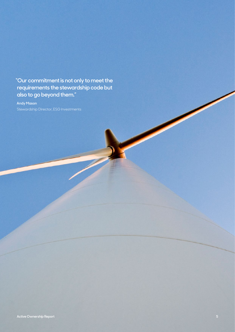**"Our commitment is not only to meet the requirements the stewardship code but also to go beyond them."**

**Andy Mason**  Stewardship Director, ESG Investments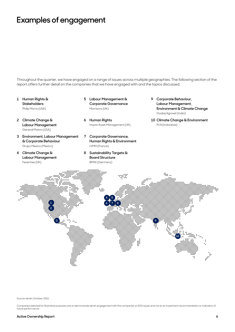## <span id="page-5-0"></span>**Examples of engagement**

Throughout the quarter, we have engaged on a range of issues across multiple geographies. The following section of the report offers further detail on the companies that we have engaged with and the topics discussed.

- **1 Human Rights & Stakeholders** Philip Morris (USA)
- **2 Climate Change & Labour Management** General Motors (USA)
- **3 Environment, Labour Management & Corporate Behaviour** Grupo Mexico (Mexico)
- **4 Climate Change & Labour Management** Fevertree (UK)
- **5 Labour Management & Corporate Governance** Morrisons (UK)
- **6 Human Rights**  Impax Asset Management (UK)
- **7 Corporate Governance, Human Rights & Environment** LVMH (France)
- **8 Sustainability Targets & Board Structure** BMW (Germany)
- **9 Corporate Behaviour, Labour Management, Environment & Climate Change** Godrej Agrovet (India)
- **10 Climate Change & Environment** PLN (Indonesia)



Source: abrdn, October 2021.

Companies selected for illustrative purposes only to demonstrate abrdn engagement with the companies on ESG issues and not as an investment recommendation or indication of future performance.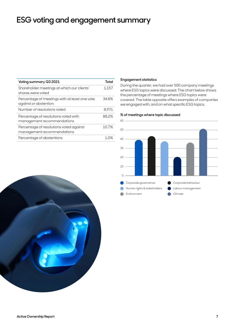## <span id="page-6-0"></span>**ESG voting and engagement summary**

| Voting summary Q3 2021                                                 | Total     |
|------------------------------------------------------------------------|-----------|
| Shareholder meetings at which our clients'<br>shares were voted        | 1,157     |
| Percentage of meetings with at least one vote<br>against or abstention | 34.8%     |
| Number of resolutions voted                                            | 8.971     |
| Percentage of resolutions voted with<br>management recommendations     | 88.2%     |
| Percentage of resolutions voted against<br>management recommendations  | 10.7%     |
| Percentage of abstentions                                              | $1 \n0\%$ |
|                                                                        |           |

### **Engagement statistics**

During the quarter, we had over 500 company meetings where ESG topics were discussed. The chart below shows the percentage of meetings where ESG topics were covered. The table opposite offers examples of companies we engaged with, and on what specific ESG topics.

### **% of meetings where topic discussed**



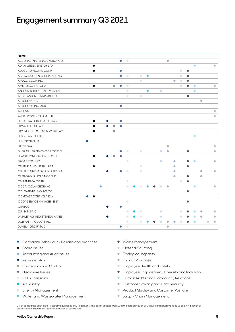<span id="page-7-0"></span>

| Name                         |           |           |                |           |            |           |            |           |                |           |           |           |           |           |           |           |           |
|------------------------------|-----------|-----------|----------------|-----------|------------|-----------|------------|-----------|----------------|-----------|-----------|-----------|-----------|-----------|-----------|-----------|-----------|
| ABU DHABI NATIONAL ENERGY CO |           |           |                | $\bullet$ | $\bullet$  |           |            |           |                | $\bullet$ |           |           |           |           |           |           |           |
| ADANI GREEN ENERGY LTD       | $\bullet$ |           |                |           |            |           |            |           |                |           |           |           |           | $\bullet$ |           |           | $\bullet$ |
| ADDUS HOMECARE CORP          | ●         |           |                | $\bullet$ |            |           |            |           |                |           |           | $\bullet$ | $\bullet$ |           |           |           |           |
| AIR PRODUCTS & CHEMICALS INC |           |           |                | $\bullet$ | $\bullet$  |           | $\bullet$  | $\bullet$ |                |           |           | $\bullet$ | $\bullet$ |           |           |           |           |
| AMAZON.COM INC               |           |           |                |           |            |           | $\bullet$  |           |                |           | $\bullet$ | $\bullet$ | $\bullet$ |           |           |           |           |
| AMERESCO INC-CL A            | $\bullet$ |           | $\bullet$      | $\bullet$ | $\bullet$  |           |            |           |                |           |           | $\bullet$ | $\bullet$ | $\bullet$ |           |           | $\bullet$ |
| ANHEUSER-BUSCH INBEV SA/NV   |           |           |                |           | $\bullet$  |           |            | $\bullet$ | $\bullet$      |           |           |           |           | $\bullet$ |           |           |           |
| AUCKLAND INTL AIRPORT LTD    |           |           |                |           | $\bullet$  |           | $\bullet$  |           |                |           |           |           | $\bullet$ |           |           |           |           |
| <b>AUTODESKINC</b>           |           |           |                |           |            |           |            |           |                |           |           |           |           |           | $\bullet$ |           |           |
| AUTOHOME INC-ADR             |           |           |                | $\bullet$ |            |           |            |           |                |           |           |           |           |           |           |           |           |
| AZUL SA                      |           |           |                |           |            |           |            |           |                |           |           |           |           |           |           |           | $\bullet$ |
| AZURE POWER GLOBAL LTD       |           |           |                |           |            |           |            |           |                |           |           |           |           |           |           |           | $\bullet$ |
| B3 SA-BRASIL BOLSA BALCAO    | $\bullet$ |           | $\bullet$      | $\bullet$ |            |           |            |           |                |           |           |           |           |           |           |           |           |
| <b>BAWAG GROUP AG</b>        | $\bullet$ |           | 0<br>$\bullet$ | $\bullet$ |            |           |            |           |                |           |           |           |           |           |           |           |           |
| BAYERISCHE MOTOREN WERKE AG  |           |           | $\bullet$      |           |            |           |            |           |                |           |           |           |           |           |           |           |           |
| <b>BHARTI AIRTEL LTD</b>     |           |           |                |           |            |           |            |           |                |           |           |           |           | $\bullet$ |           |           |           |
| <b>BHP GROUP LTD</b>         |           |           |                |           |            |           |            |           |                |           |           |           |           |           |           |           |           |
| <b>BIESSE SPA</b>            |           |           |                |           |            |           |            |           |                | $\bullet$ |           |           |           |           |           |           | $\bullet$ |
| BK BRASIL OPERACAO E ASSESSO |           |           |                | $\bullet$ | $\bigcirc$ |           | $\bigcirc$ |           | $\bullet$      | $\bullet$ |           |           | $\bullet$ |           |           |           | $\bullet$ |
| BLACKSTONE GROUP INC/THE     | $\bullet$ |           | ۵              | $\bullet$ |            |           |            |           |                |           |           |           |           |           |           |           |           |
| <b>BROADCOM INC</b>          |           |           |                |           | $\bigcirc$ |           |            |           | $\bullet$      |           | $\bullet$ |           | $\bullet$ | $\bullet$ |           |           | $\bullet$ |
| CENTURIA INDUSTRIAL REIT     | $\bullet$ |           |                |           |            |           | $\bigcirc$ |           |                |           | $\bullet$ |           | $\bullet$ |           |           |           |           |
| CHINA TOURISM GROUP DUTY F-A |           |           | 0              | $\bullet$ | $\bullet$  |           | $\bigcirc$ |           |                |           | $\bullet$ |           |           |           | $\bullet$ |           | $\bullet$ |
| CIMB GROUP HOLDINGS BHD      |           |           |                |           |            |           |            |           |                |           | $\bullet$ |           | $\bullet$ |           | $\bullet$ |           |           |
| CMS ENERGY CORP              |           |           |                |           | $\bigcirc$ |           |            |           |                |           |           | $\bullet$ | $\bullet$ |           |           |           |           |
| COCA-COLA ICECEK AS          |           | $\bullet$ |                |           | $\bullet$  | ●         | $\bigcirc$ | ●         | $\bullet$<br>● | $\bullet$ |           |           |           | $\bullet$ |           |           | $\bullet$ |
| COLGATE-PALMOLIVE CO         |           |           |                |           |            |           |            |           |                |           |           |           | $\bullet$ |           |           |           |           |
| COMCAST CORP-CLASS A         |           |           |                |           |            |           |            |           |                |           |           |           |           |           |           |           |           |
| COOR SERVICE MANAGEMENT      |           |           |                |           | $\bullet$  |           |            |           |                |           |           |           | $\bullet$ |           |           |           |           |
| CRH PLC                      |           |           | $\bullet$      | $\bullet$ |            |           |            |           |                |           |           |           |           |           |           |           |           |
| <b>CUMMINS INC</b>           |           |           |                |           | $\bullet$  | $\bullet$ | $\bullet$  |           | $\bullet$      |           |           | $\bullet$ | $\bullet$ | $\bullet$ | $\bullet$ |           | $\bullet$ |
| DAIMLER AG-REGISTERED SHARES |           |           | $\bullet$      |           | $\bullet$  | $\bullet$ | $\bigcirc$ |           | $\bullet$      |           |           | $\bullet$ | ●         | $\bullet$ | $\bullet$ |           | $\bullet$ |
| DORMAN PRODUCTS INC          |           |           |                |           | $\bullet$  |           | $\bullet$  |           | $\bullet$      | $\bullet$ | $\bullet$ | $\bullet$ |           | $\bullet$ |           | $\bullet$ | $\bullet$ |
| DUNELM GROUP PLC             |           |           |                | $\bullet$ | $\bigcirc$ |           |            |           |                | $\bullet$ |           |           |           |           |           |           |           |

- Corporate Behaviour Policies and practices Waste Management
- 
- Accounting and Audit Issues Production → Ecological Impacts
- 
- 
- 
- 
- 
- 
- Water and Wastewater Management Supply Chain Management
- 
- Board Issues Material Sourcing
	-
- Remuneration Labour Practices
- Ownership and Control entitled and Safety and Control entitled and Safety entitled and Safety and Safety and Safety
- Disclosure Issues Disclosure Issues Publishing Disclosure Issues Employee Engagement, Diversity and Inclusion
- GHG Emissions example and the Human Rights and Community Relations
- Air Quality Air Quality Air Quality Air Quality Air Quality Air Quality Air Quality Air Quality Air Quality Air  $\sim$  Customer Privacy and Data Security
- Energy Management entitled and the Product Quality and Customer Welfare
	-

List of companies above is for illustrative purposes only to demonstrate abrdn engagement with the companies on ESG issues and is not intended to be an indication of performance, investment recommendation or solicitation.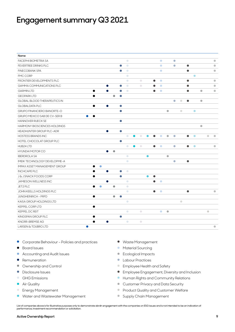| Name                                |                        |           |           |           |            |           |            |           |           |           |           |           |           |           |           |           |           |           |
|-------------------------------------|------------------------|-----------|-----------|-----------|------------|-----------|------------|-----------|-----------|-----------|-----------|-----------|-----------|-----------|-----------|-----------|-----------|-----------|
| <b>FACEPHI BIOMETRIA SA</b>         |                        |           |           |           | $\bullet$  |           |            |           |           | $\bullet$ |           | $\bullet$ |           |           |           |           |           | $\bullet$ |
| FEVERTREE DRINKS PLC                |                        |           |           | $\bullet$ | $\bullet$  |           |            |           |           | $\bullet$ |           | $\bullet$ |           | $\bullet$ |           |           |           | $\bullet$ |
| <b>FINECOBANK SPA</b>               |                        |           |           | $\bullet$ | $\bullet$  |           |            |           |           | $\bullet$ |           |           |           | $\bullet$ |           |           |           | $\bullet$ |
| <b>FMC CORP</b>                     |                        |           |           |           | $\bullet$  |           |            |           |           |           |           |           |           |           | $\bullet$ |           |           |           |
| FRONTIER DEVELOPMENTS PLC           |                        |           |           |           | $\bullet$  |           | $\bullet$  |           | $\bullet$ | $\bullet$ |           |           |           | $\bullet$ |           |           |           | $\bullet$ |
| <b>GAMMA COMMUNICATIONS PLC</b>     |                        | $\bullet$ |           | $\bullet$ | $\bullet$  |           | $\bullet$  |           | $\bullet$ | $\bullet$ |           |           |           | $\bullet$ |           |           |           | $\bullet$ |
| <b>GARMIN LTD</b>                   | $\bullet$              | $\bullet$ |           | $\bullet$ | $\bigcirc$ |           |            |           | $\bullet$ | $\bullet$ |           |           |           | $\bullet$ |           | $\bullet$ |           | $\bullet$ |
| <b>GEOPARK LTD</b>                  | $\bullet$              |           | $\bullet$ | $\bullet$ |            |           |            |           |           |           |           |           |           |           |           |           |           |           |
| <b>GLOBAL BLOOD THERAPEUTICS IN</b> |                        |           |           |           |            |           |            |           |           |           |           | $\bullet$ | $\bullet$ | $\bullet$ |           | $\bullet$ |           |           |
| <b>GLOBALDATA PLC</b>               |                        | 0         |           | $\bullet$ |            |           |            |           |           |           |           |           |           |           |           |           |           |           |
| <b>GRUPO FINANCIERO BANORTE-O</b>   |                        |           |           | $\bullet$ |            |           |            |           |           |           | $\bullet$ |           | $\bullet$ |           | $\bullet$ |           |           |           |
| GRUPO MEXICO SAB DE CV-SER B        | $\bullet$<br>$\bullet$ |           |           |           |            |           |            |           |           |           |           |           |           |           |           |           |           |           |
| <b>HANNOVER RUECK SE</b>            |                        |           |           | $\bullet$ |            |           |            |           |           |           |           |           |           |           |           |           |           |           |
| <b>HARMONY BIOSCIENCES HOLDINGS</b> |                        |           |           |           |            |           |            |           |           |           |           |           |           |           |           | $\bullet$ |           |           |
| HEADHUNTER GROUP PLC-ADR            |                        | $\bullet$ |           | $\bullet$ |            |           |            |           |           |           |           |           |           |           |           |           |           |           |
| <b>HOSTESS BRANDS INC</b>           |                        |           |           |           | $\bullet$  | œ         | $\bullet$  |           |           | $\bullet$ | $\bullet$ | $\bullet$ |           | $\bullet$ | $\bullet$ |           | $\bullet$ | $\bullet$ |
| HOTEL CHOCOLAT GROUP PLC            |                        |           |           | $\bullet$ |            |           |            |           |           |           |           |           |           |           |           |           |           |           |
| HUB24 LTD                           |                        |           |           |           | $\bullet$  | $\bullet$ | $\bullet$  |           | $\bullet$ | $\bullet$ |           | $\bullet$ |           | $\bullet$ | $\bullet$ |           |           | $\bullet$ |
| <b>HYUNDAI MOTOR CO</b>             |                        | $\bullet$ | $\bullet$ |           |            |           |            |           |           |           |           |           |           |           |           |           |           |           |
| <b>IBERDROLA SA</b>                 |                        |           |           |           | $\bullet$  |           |            | $\bullet$ |           |           | $\bullet$ |           |           |           |           |           |           |           |
| IMEIK TECHNOLOGY DEVELOPME-A        |                        |           |           |           | $\bullet$  |           |            |           |           |           |           | $\bullet$ |           | $\bullet$ |           |           |           |           |
| <b>IMPAX ASSET MANAGEMENT GROUP</b> | $\bullet$              |           |           |           |            |           |            |           |           |           |           |           |           |           |           |           |           |           |
| <b>INCHCAPE PLC</b>                 |                        | 0         |           | $\bullet$ | $\bigcirc$ |           |            |           |           |           |           |           |           |           |           |           |           |           |
| <b>J &amp; J SNACK FOODS CORP</b>   | ●                      |           |           | $\bullet$ |            |           |            | $\bullet$ | $\bullet$ |           |           |           |           |           |           |           |           |           |
| <b>JAMIESON WELLNESS INC</b>        |                        | $\bullet$ |           |           | $\bullet$  |           |            |           | $\bullet$ | $\bullet$ |           |           |           |           |           |           |           |           |
| JET2 PLC                            | $\bullet$<br>۵         |           | $\bullet$ |           | $\bullet$  |           |            |           |           |           |           |           |           |           |           |           |           |           |
| JOHN KEELLS HOLDINGS PLC            |                        |           |           |           | $\bullet$  |           |            |           | $\bullet$ | $\bullet$ |           |           |           | $\bullet$ |           |           |           | $\bullet$ |
| <b>JUNGHEINRICH - PRFD</b>          |                        |           | $\bullet$ |           |            |           |            |           |           |           |           |           |           |           |           |           |           |           |
| KAISA GROUP HOLDINGS LTD            |                        |           |           |           | $\bullet$  |           |            |           |           |           |           |           | $\bullet$ |           |           |           |           |           |
| <b>KEPPEL CORP LTD</b>              | $\bullet$              |           |           |           |            |           |            |           |           |           |           |           |           |           |           |           |           |           |
| KEPPEL DC REIT                      |                        |           |           |           | $\bullet$  |           | $\bullet$  |           |           | $\bullet$ | $\bullet$ |           |           |           |           |           | $\bullet$ |           |
| KINGSPAN GROUP PLC                  |                        |           |           | $\bullet$ |            |           |            |           |           |           |           |           |           |           |           |           |           |           |
| <b>KNORR-BREMSE AG</b>              | $\bullet$              | $\bullet$ |           |           | $\bullet$  |           | $\bigcirc$ |           |           |           |           |           |           |           |           |           |           |           |
| LARSEN & TOUBRO LTD                 |                        |           |           |           |            |           |            |           |           |           |           |           |           |           |           |           |           | $\bullet$ |

- Corporate Behaviour Policies and practices Waste Management
- 
- Accounting and Audit Issues Production → Ecological Impacts
- 
- 
- 
- 
- 
- 
- Water and Wastewater Management Supply Chain Management
- 
- Board Issues Material Sourcing
	-
- Remuneration Labour Practices
- Ownership and Control entitled and Safety and Control entitled and Safety entitled and Safety and Safety and Safety
- Disclosure Issues Disclosure Issues Publishing Disclosure Issues Employee Engagement, Diversity and Inclusion
- GHG Emissions example and the Human Rights and Community Relations
- Air Quality Air Quality Air Quality Air Quality Air Quality Air Quality Air Quality Air Quality Air Quality Air Quality Air Quality Air Quality Air Quality Air Quality Air Quality Air Quality Air Quality Air Quality A
- Energy Management entitled and the Product Quality and Customer Welfare
	-

List of companies above is for illustrative purposes only to demonstrate abrdn engagement with the companies on ESG issues and is not intended to be an indication of performance, investment recommendation or solicitation.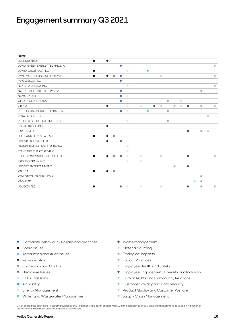| Name                                |                        |           |            |                         |                        |                                                                                                                                                               |           |                         |                              |
|-------------------------------------|------------------------|-----------|------------|-------------------------|------------------------|---------------------------------------------------------------------------------------------------------------------------------------------------------------|-----------|-------------------------|------------------------------|
| <b>LCI INDUSTRIES</b>               | $\bullet$<br>$\bullet$ |           |            |                         |                        |                                                                                                                                                               |           |                         |                              |
| <b>LONGI GREEN ENERGY TECHNOL-A</b> |                        | $\bullet$ |            |                         |                        |                                                                                                                                                               |           |                         | $\bullet$                    |
| <b>LONZA GROUP AG-REG</b>           | $\bullet$              |           | $\bigcirc$ | $\bullet$               |                        |                                                                                                                                                               |           |                         |                              |
| LVMH MOET HENNESSY LOUIS VUI        |                        | ●         |            |                         | $\bullet$              |                                                                                                                                                               |           |                         | $\bullet$                    |
| MJ GLEESON PLC                      |                        | $\bullet$ |            |                         |                        |                                                                                                                                                               |           |                         |                              |
| NEXTERA ENERGY INC                  |                        |           | $\bigcirc$ |                         |                        |                                                                                                                                                               |           |                         | $\bullet$                    |
| NOTRE DAME INTERMED PAR SA          |                        | $\bullet$ |            |                         |                        |                                                                                                                                                               |           | $\bullet$               |                              |
| <b>NOVATEK PJSC</b>                 |                        | $\bullet$ | $\bullet$  |                         |                        |                                                                                                                                                               |           |                         |                              |
| OMEGA GERACAO SA                    |                        | $\bullet$ |            |                         | $\bullet$              | $\bullet$                                                                                                                                                     |           |                         |                              |
| ORPFA                               | $\bullet$              |           | $\bullet$  | $\bullet$               | $\bullet$<br>$\bullet$ | $\overline{\phantom{a}}$<br>$\begin{array}{c} \begin{array}{c} \begin{array}{c} \begin{array}{c} \end{array} \end{array} \end{array} \end{array} \end{array}$ | $\bullet$ | $\bullet$               | $\bullet$                    |
| PETROBRAS - PETROLEO BRAS-PR        |                        | $\bullet$ | $\bullet$  | ●                       | $\bullet$              |                                                                                                                                                               |           |                         |                              |
| PEXA GROUP ITD                      |                        |           |            |                         |                        |                                                                                                                                                               |           |                         | $\bullet$                    |
| PHOENIX GROUP HOLDINGS PLC          |                        |           | $\bigcirc$ |                         | $\bullet$              |                                                                                                                                                               |           |                         |                              |
| RBC BEARINGS INC                    | $\bullet$              |           |            |                         |                        |                                                                                                                                                               |           |                         |                              |
| SAVILLS PLC                         |                        |           |            |                         |                        |                                                                                                                                                               | $\bullet$ | $\qquad \qquad \bullet$ | $\qquad \qquad \blacksquare$ |
| SBERBANK OF RUSSIA PJSC             | $\bullet$<br>$\bullet$ | $\bullet$ |            |                         |                        |                                                                                                                                                               |           |                         |                              |
| SIRIUS REAL ESTATE LTD              |                        | $\bullet$ |            |                         |                        |                                                                                                                                                               |           |                         |                              |
| SKANDINAVISKA ENSKILDA BAN-A        |                        |           | $\bigcirc$ |                         |                        |                                                                                                                                                               |           |                         |                              |
| STANDARD CHARTERED PLC              |                        |           | $\bigcirc$ |                         |                        |                                                                                                                                                               |           |                         |                              |
| TECHTRONIC INDUSTRIES COLTD         | $\bullet$              |           | $\bigcirc$ | $\bullet$               | $\bullet$              |                                                                                                                                                               | $\bullet$ |                         | $\bullet$                    |
| TREX COMPANY INC                    |                        |           | $\bullet$  | $\color{black} \bullet$ |                        |                                                                                                                                                               |           |                         |                              |
| <b>UBISOFT ENTERTAINMENT</b>        |                        |           |            |                         |                        | $\bullet$                                                                                                                                                     | $\bullet$ |                         |                              |
| VALE SA                             | $\bullet$<br>$\bullet$ | $\bullet$ |            |                         |                        |                                                                                                                                                               |           |                         |                              |
| <b>VENUSTECH GROUP INC-A</b>        |                        |           |            |                         |                        |                                                                                                                                                               |           | $\bullet$               |                              |
| <b>VEON LTD</b>                     |                        |           |            |                         |                        |                                                                                                                                                               | $\bullet$ | $\bullet$               |                              |
| YOUGOV PLC                          |                        | $\bullet$ | $\bullet$  | $\bigcirc$              | $\bullet$              |                                                                                                                                                               |           | $\bullet$               | $\bullet$                    |

- Corporate Behaviour Policies and practices Waste Management
- 
- Accounting and Audit Issues Provided a Lateration → Ecological Impacts
- 
- 
- 
- 
- 
- 
- Water and Wastewater Management Supply Chain Management
- 
- Board Issues Material Sourcing
	-
- Remuneration Labour Practices
- Ownership and Control entitled and Safety and Control entitled and Safety entitled and Safety and Safety and Safety
- Disclosure Issues Disclosure Issues Publishing Disclosure Issues Employee Engagement, Diversity and Inclusion
- GHG Emissions example and the Human Rights and Community Relations
- Air Quality Air Quality Air Quality Air Quality Air Quality Air Quality Air Quality Air Quality Air Quality Air  $\sim$  Customer Privacy and Data Security
- Energy Management entitled and the Product Quality and Customer Welfare
	-

List of companies above is for illustrative purposes only to demonstrate abrdn engagement with the companies on ESG issues and is not intended to be an indication of performance, investment recommendation or solicitation.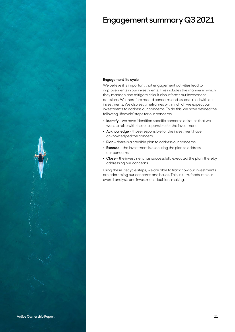

### **Engagement life cycle**

We believe it is important that engagement activities lead to improvements in our investments. This includes the manner in which they manage and mitigate risks. It also informs our investment decisions. We therefore record concerns and issues raised with our investments. We also set timeframes within which we expect our investments to address our concerns. To do this, we have defined the following 'lifecycle' steps for our concerns.

- . **Identify** we have identified specific concerns or issues that we want to raise with those responsible for the investment.
- . **Acknowledge** those responsible for the investment have acknowledged the concern.
- . **Plan** there is a credible plan to address our concerns.
- . **Execute** the investment is executing the plan to address our concerns.
- . **Close** the investment has successfully executed the plan, thereby addressing our concerns.

Using these lifecycle steps, we are able to track how our investments are addressing our concerns and issues. This, in turn, feeds into our overall analysis and investment decision-making.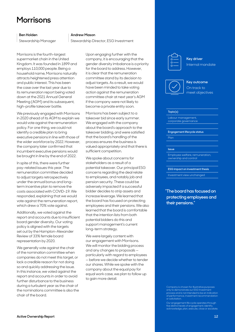## <span id="page-11-0"></span>**Morrisons**

### **Ben Holden**

Stewardship Manager

Morrisons is the fourth-largest supermarket chain in the United Kingdom. It was founded in 1899 and employs 110,000 people. Being a household name, Morrisons naturally attracts heightened press attention and public interest. This has been the case over the last year due to its remuneration report being voted down at the 2021 Annual General Meeting (AGM) and its subsequent, high-profile takeover battle.

We previously engaged with Morrisons in 2020 ahead of its AGM to explain we would vote against the remuneration policy. For one thing, we could not identify a credible plan to bring executive pensions in line with those of the wider workforce by 2022. However, the company later confirmed that incumbent executive pensions would be brought in line by the end of 2022.

In spite of this, there were further pay-related issues this year. The remuneration committee decided to adjust targets retrospectively under the annual bonus and longterm incentive plan to remove the costs associated with COVID-19. We responded, explaining that we would vote against the remuneration report, which drew a 70% vote against.

Additionally, we voted against the report and accounts due to insufficient board gender diversity. Our voting policy is aligned with the targets set out by the Hampton-Alexander Review of 33% female board representation by 2020.

We generally vote against the chair of the nomination committee when companies do not meet this target, or lack a credible reason for not doing so and quickly addressing the issue. In this instance, we voted against the report and accounts in order to avoid further disturbance to the business during a turbulent year as the chair of the nominations committee is also the chair of the board.

#### **Andrew Mason**

Stewardship Director, ESG Investment

Upon engaging further with the company, it is encouraging that the gender diversity imbalance is a priority for the board to address. However, it is clear that the remuneration committee stand by its decision to adjust targets. As a result, we would have been minded to take voting action against the remuneration committee chair at next year's AGM if the company were not likely to become a private entity soon.

Morrisons has been subject to a takeover bid since early summer. We engaged with the company about the board's approach to the takeover bidding, and were satisfied that the board's handling of the process ensures the business is valued appropriately and that there is sufficient competition.

We spoke about concerns for stakeholders as a result of a potential takeover. Our principal ESG concerns regarding the deal relate to employees, and notably job and pension security. These could be adversely impacted if a successful bidder decides to strip assets and increase leverage. We learned that the board has focused on protecting employees and their pensions. We also learned that the board is comfortable that the intention lists from both potential bidders do this and support management's current long-term strategy.

We were largely content with our engagement with Morrisons. We will monitor the bidding process and any changes to proposals particularly with regard to employees — before we decide whether to tender our shares. While we spoke with the company about the equal pay for equal work case, we plan to follow up to gain more detail.



**Key driver** Internal mandate





#### **Topic(s)**

Labour management corporate governance

**Engagement lifecycle status**

Plan

#### **Issue**

Employee welfare, remuneration, ownership and control

#### **ESG impact on investment thesis**

Investment view unchanged

**"The board has focused on protecting employees and their pensions."**

Company is chosen for illustrative purposes only to demonstrate our ESG Investmen  $\overline{\rm{o}}$ cess and is not intended to be an indication of performance, investment recommendation or solicitation.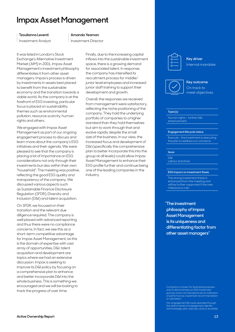## <span id="page-12-0"></span>**Impax Asset Management**

#### **Tzoulianna Leventi**

Investment Analyst

#### **Amanda Yeaman**

Investment Director

It was listed in London's Stock Exchange's Alternative Investment Market (AIM) in 2001. Impax Asset Management's investment philosophy differentiates it from other asset managers. Impax's process is driven by investments in assets best placed to benefit from the sustainable economy and the transition towards a viable world. As the company is at the forefront of ESG investing, particular focus is placed on sustainability themes such as environmental pollution, resource scarcity, human rights and others.

We engaged with Impax Asset Management as part of our ongoing engagement process to discuss and learn more about the company's ESG initiatives and their agenda. We were pleased to see that the company is placing a lot of importance on ESG considerations not only through their investments but also within their own "household". The meeting was positive, reflecting the good ESG quality and transparency of the company. We discussed various aspects such as Sustainable Finance Disclosure Regulation (SFDR), Diversity and Inclusion (D&I) and talent acquisition.

On SFDR, we focused on their transition and the relevant due diligence required. The company is well placed with advanced reporting and thus there were no compliance concerns. In fact, we see this as a short-term competitive advantage for Impax Asset Management, as this is the domain of expertise with vast array of opportunities. D&I, talent acquisition and development are topics where we had an extensive discussion. Impax is seeking to improve its D&I policy by focusing on a comprehensive plan to enhance and better incorporate D&I into the whole business. This is something we encouraged and we will be looking to track the progress of over time.

Finally, due to the increasing capital inflows into the sustainable investment space, there is a growing demand for associated talent. In response, the company has intensified its recruitment process for middle/ junior level employees and increased junior staff training to support their development and growth.

Overall, the responses we received from management were satisfactory, reflecting the niche positioning of the company. They hold the underlying portfolio of companies to a higher standard than they hold themselves but aim to work through that and evolve rapidly despite the small size of the business. In our view, the increased focus and development of D&I (specifically the comprehensive plan to better incorporate this into the group at all levels) could allow Impax Asset Management to enhance their ESG profile further and continue being one of the leading companies in the industry.



**Key driver** Internal mandate





#### **Topic(s)**

Human rights – further D&I enhancement

#### **Engagement lifecycle status**

Execute – the investment is executing the plan to address our concerns.

#### **Issue**

D&I

Labour practices

#### **ESG impact on investment thesis**

The strong investment thesis is enhanced from the meeting and will be further supported if the new milestone is met.

### **"The investment philosophy of Impax Asset Management is its uniqueness and differentiating factor from other asset managers"**

Company is chosen for illustrative purposes only to demonstrate our ESG Investmen  $\overline{\rm{o}}$ cess and is not intended to be an indication of performance, investment recommendation or solicitation.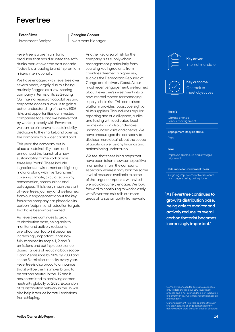## <span id="page-13-0"></span>**Fevertree**

#### **Peter Silver**

Investment Analyst

#### **Georgina Cooper**

Investment Manager

Fevertree is a premium tonic producer that has disrupted the softdrinks market over the past decade. Today it is a leading brand in premium mixers internationally.

We have engaged with Fevertree over several years, largely due to it being routinely flagged as a low-scoring company in terms of its ESG rating. Our internal research capabilities and corporate access allows us to gain a better understanding of the key ESG risks and opportunities our invested companies face, and we believe that by working closely with Fevertree, we can help improve its sustainability disclosure to the market, and open up the company to a wider capital pool.

This year, the company put in place a sustainability team and announced the launch of a new sustainability framework across three key "roots". These include ingredients, environment and fighting malaria, along with five "branches", covering climate, circular economy, conservation, communities and colleagues. This is very much the start of Fevertree's journey, and we learned from our engagement about the key focus the company has placed on its carbon footprint and reduction targets that have been implemented.

As Fevertree continues to grow its distribution base, being able to monitor and actively reduce its overall carbon footprint becomes increasingly important. It has now fully mapped its scope 1, 2 and 3 emissions and put in place Science-Based Targets of reducing both scope 1 and 2 emissions by 50% by 2030 and scope 3 emission intensity every year. Fevertree is also proud to announce that it will be the first mixer brand to be carbon neutral in the UK and it has committed to achieving carbon neutrality globally by 2025. Expansion of its distribution network in the US will also help it reduce harmful emissions from shipping.

Another key area of risk for the company is its supply-chain management, particularly from sourcing key ingredients from countries deemed a higher risk, such as the Democratic Republic of Congo and the Ivory Coast. At our most recent engagement, we learned about Fevertree's investment into a new internal system for managing supply-chain risk. This centralised platform provides robust oversight of all its suppliers. This includes regular reporting and due diligence, audits, and liaising with dedicated local teams who can also undertake unannounced visits and checks. We have encouraged the company to disclose more detail about the scope of audits, as well as any findings and actions being undertaken.

We feel that these initial steps that have been taken show some positive momentum from the company, especially where it may lack the same level of resource available to some of the larger companies with which we would routinely engage. We look forward to continuing to work closely with Fevertree as it rolls out more areas of its sustainability framework.



**Key driver** Internal mandate





#### **Topic(s)**

Climate change Labour management

**Engagement lifecycle status**

Plan

#### **Issue**

Improved disclosure and strategic alignment

#### **ESG impact on investment thesis**

Ongoing improvement to disclosure and targets being put in place

**"As Fevertree continues to grow its distribution base, being able to monitor and actively reduce its overall carbon footprint becomes increasingly important."**

Company is chosen for illustrative purposes only to demonstrate our ESG Investmen  $\overline{\rm{o}}$ cess and is not intended to be an indication of performance, investment recommendation or solicitation.

Our engagement life cycle operates through five distinct levels of engagement; identify, acknowledge, plan, execute, close or escalate.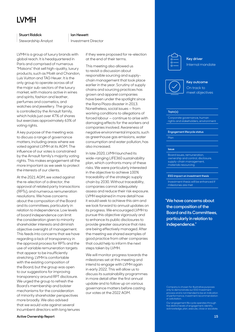# <span id="page-14-0"></span>**LVMH**

### **Stuart Riddick**

Stewardship Analyst

#### **Ian Hewett**

Investment Director

LVMH is a group of luxury brands with global reach. It is headquartered in Paris and comprised of numerous "Maisons" that sell high-quality, luxury products, such as Moët and Chandon, Luis Vuitton and TAG Heuer. It is the only group to operate across all of the major sub-sectors of the luxury market, with maisons active in wines and spirits, fashion and leather, perfumes and cosmetics, and watches and jewellery. The group is controlled by the Arnault family, which holds just over 47% of shares but exercises approximately 63% of voting rights.

A key purpose of the meeting was to discuss a range of governance matters, including areas where we voted against LVMH at its AGM. The influence of our votes is constrained by the Arnault family's majority voting rights. This makes engagement all the more important as we seek to protect the interests of our clients.

At the 2021 AGM, we voted against the re-election of a director, the approval of related party transactions (RPTs), and numerous remuneration resolutions. We have concerns about the composition of the Board and its committees, particularly in relation to independence. Low levels of board independence can limit the consideration given to minority shareholder interests and diminish objective oversight of management. This feeds into concerns that we have regarding a lack of transparency in the approval process for RPTs and the use of variable remuneration targets that appear to be insufficiently stretching. LVMH is comfortable with the existing composition of the Board, but the group was open to our suggestions for improving transparency around RPT disclosure. We urged the group to refresh the Board's membership and bolster mechanisms for the consideration of minority shareholder perspectives more broadly. We also advised that we would vote against several incumbent directors with long tenures

if they were proposed for re-election at the end of their terms.

This meeting also allowed us to revisit a discussion about responsible sourcing and supplychain management that took place earlier in the year. Scrutiny of supply chains and sourcing practices has grown and apparel companies have been under the spotlight since the Rana Plaza disaster in 2013. Nonetheless, social issues — from working conditions to allegations of forced labour — continue to arise with damaging effects for the workers and companies involved. Awareness of negative environmental impacts, such as greenhouse gas emissions, water consumption and water pollution, has also increased.

In late 2020, LVMH launched its wide-ranging LIFE360 sustainability plan, which confronts many of these risks. We were particularly interested in the objective to achieve 100% traceability of the strategic supply chain by 2030. Without traceability, companies cannot adequately assess and reduce their risk exposure. LVMH explained in more detail how it would seek to achieve this aim and we look forward to annual updates on its progress. We encouraged LVMH to pursue this objective vigorously and to enhance its public disclosures to provide greater assurance that risks are being effectively managed. After the meeting we shared examples of good practice from other companies that could help to inform the next steps taken by LVMH.

We will monitor progress towards the milestones set at this meeting and intend to engage with LVMH again in early 2022. This will allow us to discuss its sustainability programmes in more detail after the first annual update and to follow up on various governance matters before casting our votes at the 2022 AGM.



**Key driver** Internal mandate





#### **Topic(s)**

Corporate governance, human rights and stakeholders, environment

**Engagement lifecycle status**

Plan

#### **Issue**

Board issues, remuneration, ownership and control, disclosure, supply-chain management, materials resourcing

#### **ESG impact on investment thesis**

Investment thesis will be enhanced if milestones are met

**"We have concerns about the composition of the Board and its Committees, particularly in relation to independence."**

Company is chosen for illustrative purposes only to demonstrate our ESG Investmen  $\overline{\rm{o}}$ cess and is not intended to be an indication of performance, investment recommendation or solicitation.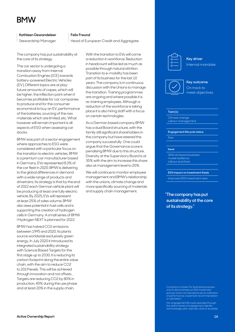## <span id="page-15-0"></span>**BMW**

**Kathleen Dewandeleer** 

Stewardship Manager

#### **Felix Freund**

Head of European Credit and Aggregate

The company has put sustainability at the core of its strategy.

The car sector is undergoing a transition away from Internal Combustion Engines (ICE) towards battery-powered Electric Vehicles (EV). Different topics are at play: future amounts of capex, which will be higher, the inflection point when it becomes profitable for car companies to produce and for the consumer economical to buy an EV, performance of the batteries, sourcing of the raw materials which are limited, etc. What however will remain important is all aspects of ESG when assessing car stocks.

BMW was part of a sector engagement where approaches to ESG were considered with a particular focus on the transition to electric vehicles. BMW is a premium car manufacturer based in Germany. EVs represented 8.3% of the car fleet in 2020. BMW is delivering to the global differences in demand with a wide range of products and drivetrains. Its strategy is that by the end of 2022 each German vehicle plant will be producing at least one fully electric vehicle. By 2025, EVs will represent at least 25% of sales volume. BMW also sees potential in fuel cells and is supporting the creation of hydrogen cells in Germany. A small series of BMW I Hydrogen NEXT is planned for 2022.

BMW has halved CO2 emissions between 1995 and 2020. Its plants source worldwide exclusively green energy. In July 2020 it introduced its integrated sustainability strategy with Science Based Targets for the first stage up to 2030. It is reducing its carbon footprint along the entire value chain, with the aim to reduce CO2 to 2019 levels. This will be achieved through innovation and not offsets. . Targets are reducing CO2 by 80% in production, 40% during the use phase and at least 20% in the supply chain.

With the transition to EVs will come a reduction in workforce. Reduction in headcount will be led as much as possible through natural attrition. Transition to e-mobility has been part of its business for the last 10 years. The company is in continuous discussion with the Unions to manage the transition. Training programmes are ongoing and where possible it is re-training employees. Although a reduction of the workforce is taking place it is also hiring staff with a focus on certain technologies.

As a German based company BMW has a dual Board structure, with the family still significant shareholders in the company but have steered the company successfully. One could argue that the Governance score is penalising BMW due to this structure. Diversity at the Supervisory Board is at 35% with the aim to increase this share also at management level to 20%.

We will continue to monitor employee management and BMW's relationship with the unions, climate change and more specifically sourcing of materials and supply chain management.



**Key driver** Internal mandate





#### **Topic(s)**

Climate change Labour management

**Engagement lifecycle status**

Plan

#### **Issue**

GHG emissions business model resilience Labour practices

#### **ESG impact on investment thesis**

Improves ESG investment view

**"The company has put sustainability at the core of its strategy."**

Company is chosen for illustrative purposes only to demonstrate our ESG Investmen  $\overline{\rm{o}}$ cess and is not intended to be an indication of performance, investment recommendation or solicitation.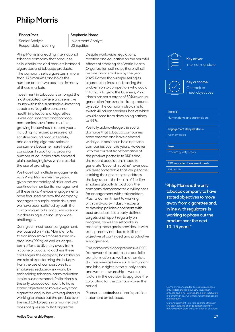## <span id="page-16-0"></span>**Philip Morris**

### **Fionna Ross**

Senior Analyst – Responsible Investing

### Philip Morris is a leading international tobacco company that produces, sells, distributes and markets branded cigarettes and tobacco products. The company sells cigarettes in more than 175 markets and holds the number one or two positions in many of these markets.

Investment in tobacco is amongst the most debated, divisive and sensitive issues within the sustainable-investing spectrum. Negative consumer health implications of cigarettes is well documented and tobacco companies have faced multiple, growing headwinds in recent years, including increased pressure and scrutiny around product safety, and declining cigarette sales as consumers become more health conscious. In addition, a growing number of countries have enacted plain packaging laws which restrict the use of branding.

We have had multiple engagements with Philip Morris over the years, given the materiality of risks, and we continue to monitor its management of these risks. Previous engagements have focussed on how the company manages its supply-chain risks, and we have been satisfied by both the company's efforts and transparency in addressing such industry-wide challenges.

During our most recent engagement, we focused on Philip Morris' efforts to transition smokers to reduced risk products (RRPs), as well as longerterm efforts to diversify away from nicotine products. To address these challenges, the company has taken on the role of transforming the industry from the use of combustibles to a smokeless, reduced-risk world by embedding tobacco-harm reduction into its business model. Philip Morris is the only tobacco company to have stated objectives to move away from cigarettes and, in line with regulators, is working to phase out the product over the next 10-15 years in a manner that does not give rise to illicit cigarettes.

### **Stephanie Moore**

Investment Analyst, US Equities

> Despite worldwide regulations, taxation and education on the harmful effects of smoking, the World Health Organization estimates there will still be one billion smokers by the year 2025. Rather than simply selling its cigarette business and passing the problem on to competitors who could in turn try to grow the business, Philip Morris has set a target of 50% revenue generation from smoke-free products by 2025. The company also aims to switch 40 million smokers, half of which would come from developing nations, to RRPs.

> We fully acknowledge the social damage that tobacco companies have created and have debated widely our position in holding these companies over the years. However, with the current transformation of the product portfolio to RRPs and the recent acquisitions made to generate "beyond nicotine" revenues, we feel comfortable that Philip Morris is taking the right steps to address the key issue — the health of 1 billion smokers globally. In addition, the company demonstrates a willingness for engagement with stakeholders. Plus, its commitment to working with third-party industry experts to develop policies consistent with best practices, set clearly defined targets and report regularly on progress, as well as setbacks, in reaching these goals provides us with transparency needed to fulfill our objective of continued and productive engagement.

The company's comprehensive ESG framework that addresses portfolio transformation as well as other risks that we view as key — such as human and labour rights in the supply chain and water stewardship — were all factors in the decision to upgrade the ESG rating for the company over the period.

Please see **[attached](https://www.abrdn.com/docs?editionId=d3d8c23a-281e-4895-bb81-e8cf7fe0fbc8)** abrdn's position statement on tobacco.



**Key driver** Internal mandate



**Key outcome** On track to meet objectives

#### **Topic(s)**

Human rights and stakeholders

**Engagement lifecycle status**

Acknowledge

#### **Issue**

Product quality safety

**ESG impact on investment thesis**

Reinforces

**"Philip Morris is the only tobacco company to have stated objectives to move away from cigarettes and, in line with regulators, is working to phase out the product over the next 10-15 years."**

Company is chosen for illustrative purposes only to demonstrate our ESG Investment process and is not intended to be an indication of performance, investment recommendation or solicitation.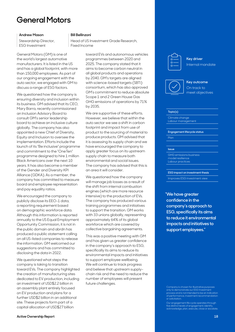## <span id="page-17-0"></span>**General Motors**

#### **Andrew Mason**

Stewardship Director, ESG Investment

General Motors (GM) is one of the world's largest automotive manufacturers. It is listed in the US and has a global footprint, with more than 150,000 employees. As part of our ongoing engagement with the auto sector, we engaged with GM to discuss a range of ESG factors.

We questioned how the company is ensuring diversity and inclusion within its business. GM advised that its CEO, Mary Barra, recently commissioned an Inclusion Advisory Board to consult GM's senior leadership board to achieve an inclusive culture globally. The company has also appointed a new Chief of Diversity, Equity and Inclusion to oversee the implementation. Efforts include the launch of its "Be inclusive" programme and commitment to the "OneTen" programme designed to hire 1 million Black Americans over the next 10 years. It has also become a member of the Gender and Diversity KPI Alliance (GDKA). As a member, the company has committed to measure board and employee representation and pay equality ratios.

We encouraged the company to publicly disclose its EEO-1 data, a reporting requirement based on demographic workforce data. Although this information is reported annually to the US Equal Employment Opportunity Commission, it is not in the public domain and abrdn has produced a public statement calling on all US-listed companies to release the information. GM welcomed our suggestions and has committed to disclosing the data in 2022.

We questioned what steps the company is taking to transition toward EVs. The company highlighted the creation of manufacturing sites dedicated to EV production, including an investment of USD\$2.2 billion in an assembly plant entirely focused on EV production and plans for a further USD\$2 billion in an additional site. These projects form part of a capital allocation of USD\$27 billion

### **Bill Bellinzoni**

Head of US Investment Grade Research, Fixed Income

> toward EVs and autonomous vehicles programmes between 2020 and 2025. The company stated that it aims to become carbon neutral in all global products and operations by 2040. GM's targets are aligned with science-based targets (SBTi) consortium, which has also approved GM's commitment to reduce absolute Scope 1 and 2 Green House Gas GHG emissions of operations by 71% by 2035.

We are supportive of these efforts. However, we believe that within the auto sector we see a shift in carbon footprint and impact from use of product to the sourcing of material to produce products. GM advised that it is assessing its supply chain and we have encouraged the company to apply greater focus on its upstream supply chain to measure both environmental and social issues. The company has advised that this is an area it will consider.

We questioned how the company will manage job losses as a result of the shift from internal combustion engines (which are more resource intensive) to the production of EVs. The company has produced various training programmes and initiatives to support the transition. GM works with 33 unions globally, representing approximately 64% of its global workforce which are covered by collective bargaining agreements.

This was a positive meeting with GM and has given us greater confidence in the company's approach to ESG, specifically its aims to reduce its environmental impacts and initiatives to support employee wellbeing. We will continue to track progress and believe that upstream supplychain risk and the need to reduce the number of employees will present future challenges.



**Key driver** Internal mandate





#### **Topic(s)**

Climate change Labour management

**Engagement lifecycle status**

Plan

#### **Issue**

GHG emissions business model resilience Labour practices

**ESG impact on investment thesis**

Improves ESG investment view

**"We have greater confidence in the company's approach to ESG, specifically its aims to reduce it environmental impacts and initiatives to support employees."**

Company is chosen for illustrative purposes only to demonstrate our ESG Investmen  $\overline{\rm{o}}$ cess and is not intended to be an indication of performance, investment recommendation or solicitation.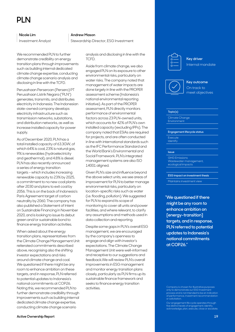# <span id="page-18-0"></span>**PLN**

#### **Nicole Lim**

Investment Analyst

We recommended PLN to further demonstrate credibility on energy transition plans through improvements such as building internal dedicated climate change expertise, conducting climate change scenario analysis and disclosing in line with the TCFD.

Perusahaan Perseroan (Persero) PT Perusahaan Listrik Negara ("PLN") generates, transmits, and distributes electricity in Indonesia. The Indonesian state-owned company develops electricity infrastructure such as transmission networks, substations, and distribution networks, as well as increase installed capacity for power supply.

As of December 2020, PLN has a total installed capacity of 63.3GW, of which 64% is coal, 23% is natural gas, 9% is renewables (hydroelectricity and geothermal), and 4.8% is diesel. PLN has also recently announced a series of energy transition targets – which includes increasing renewable capacity to 23% by 2025, a commitment to no new coal plants after 2030 and plans to exit coal by 2056. This is on the back of Indonesia's Paris Agreement target of carbon neutrality by 2060. The company has also published a Statement of Intent on Sustainable Financing in November 2020, and is looking to issue its debut green and/or sustainable bond to finance energy transition activities.

When asked about the energy transition plans, representatives from the Climate Change Management Unit reiterated commitments described above, recognising also the shifting investor expectations and risks around climate change and coal. We questioned if there might be any room to enhance ambition on these targets, and in response, PLN referred to potential updates to Indonesia's national commitments at COP26. Noting this, we recommended PLN to further demonstrate credibility through improvements such as building internal dedicated climate change expertise, conducting climate change scenario

#### **Andrew Mason**

Stewardship Director, ESG Investment

analysis and disclosing in line with the TCFD.

Aside from climate change, we also engaged PLN on its exposure to other environmental risks, particularly on water risks. The company noted that management of water impacts are done largely in line with the PROPER assessment scheme (Indonesia's national environmental reporting initiative). As part of the PROPER assessment, PLN directly monitors performance of environmental factors across 23 PLN-owned units, which accounts for 42% of PLN's own installed capacity (excluding IPPs). The company noted that ESIAs are required for projects, and are often conducted in line with international standards such as the IFC Performance Standard and the World Bank's Environmental and Social Framework. PLN's integrated management systems are also ISO 14001 aligned.

Given PLN's size and influence beyond the above select units, we see areas of improvement for PLN to better manage environmental risks, particularly on location-specific risks such as water (i.e. flooding, pollution). We suggested for PLN to expand its scope of monitoring to cover all units and power facilities, and where relevant, to clarify any assumptions and methods used in data collection and reporting.

Despite some gaps in PLN's overall ESG management, we are encouraged by the company's openness to engage and align with investor's expectations. The Climate Change Management Unit were well-informed and receptive to our suggestions and feedback.We will review PLN's overall improvements in ESG management and monitor energy transition plans closely, particularly as PLN firms up its sustainable finance framework and seeks to finance energy transition activities.



**Key driver** Internal mandate





#### **Topic(s)**

Climate Change

#### **Engagement lifecycle status**

Execute Identify

### **Issue**

GHG Emissions Wastewater management, ecological impacts

**ESG impact on investment thesis**

Maintains investment view

**"We questioned if there might be any room to enhance ambition on [energy-transition] targets, and in response, PLN referred to potential updates to Indonesia's national commitments at COP26."** 

Company is chosen for illustrative purposes only to demonstrate our ESG Investmen  $\overline{\rm o}$ cess and is not intended to be an indication of performance, investment recommendation or solicitation.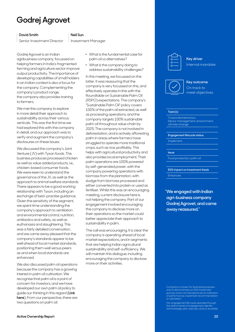# <span id="page-19-0"></span>**Godrej Agrovet**

### **David Smith**

Senior Investment Director

### **Neil Sun**

Investment Manager

Godrej Agrovet is an Indian agribusiness company, focussed on helping farmers in India's fragmented farming and agriculture sector improve output productivity. The importance of developing capabilities of small holders in an Indian context is also a focus for the company. Complementing the company's product range, the company also provides training to farmers.

We met the company to explore in more detail their approach to sustainability across their various verticals. This was the first time we had explored this with the company in detail, and our approach was to verify and augment the company's disclosures on these issues.

We discussed the company's Joint Venture (JV) with Tyson foods. This business produces processed chicken as well as value added products, i.e., chicken-based consumer foods. We were keen to understand the governance of the JV, as well as the approach to animal welfare standards. There appears to be a good working relationship with Tyson, including an exchange of best-practise guidance. Given the sensitivity of the segment, we spent time understanding the company's approach to ventilation and environmental control, nutrition, antibiotics and safety, as well as euthanasia and slaughtering. This was a fairly detailed conversation, and we came away pleased that the company's standards appear to be well ahead of local market standards, positioning them well versus peers as and when local standards are enhanced.

We also discussed palm oil operations because the company has a growing interest in palm oil cultivation. We recognise that palm oil is a point of concern for investors, and we have developed our own palm oil policy to guide our thinking in this regard (**[Link](https://www.abrdn.com/docs?editionId=ea1dd007-5851-4e33-96e0-de0e1190b284)  [here](https://www.abrdn.com/docs?editionId=ea1dd007-5851-4e33-96e0-de0e1190b284)**). From our perspective, there are two questions on palm oil:

- . What is the fundamental case for palm oil vs alternatives?
- . What is the company doing to address sustainability challenges?

In this meeting, we focussed on the latter. It was reassuring that the company is very focussed on this, and effectively operates in line with the Roundtable on Sustainable Palm Oil (RSPO) expectations. The company's "Sustainable Palm Oil" policy covers 100% of the palm oil extracted, as well as processing operations, and the company targets 100% sustainable palm oil throughout value chain by 2025. The company is not involved in deforestation, and is actively afforesting palm in areas where farmers have struggled to operate more traditional crops, such as rice, profitably. This helps with agricultural productivity and also provides local employment. Their palm operations are 100% powered by self-generated power, with the company powering operations with biomass from the plantation, with sludge from biomass processed and either converted into protein or used as fertiliser. Whilst this was an encouraging meeting, current disclosure here is not helping the company. Part of our engagement involved encouraging the company to disclose more on their operations so the market could better appreciate their approach to sustainability in palm.

The call was encouraging. It is clear the company is operating ahead of local market expectations, and in segments that are helping Indian agricultural sustainability and self-sufficiency. We will maintain this dialogue, including encouraging the company to disclose more on their activities.



**Key driver** Internal mandate





#### **Topic(s)**

Corporate behaviour, labour management, environment, climate change

**Engagement lifecycle status**

Implement

#### **Issue**

Food production, palm oil

**ESG impact on investment thesis** Enhances

**"We engaged with Indian agri-business company Godrej Agrovet, and came away reassured."**

Company is chosen for illustrative purposes only to demonstrate our ESG Investmen  $\overline{\rm{o}}$ cess and is not intended to be an indication of performance, investment recommendation or solicitation.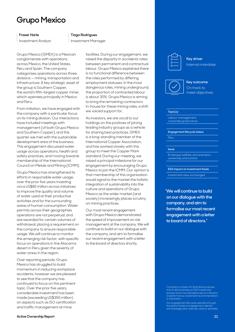## <span id="page-20-0"></span>**Grupo Mexico**

### **Fraser Harle**

Investment Analyst

#### **Tiago Rodrigues**

Investment Manager

Grupo Mexico (GMEX) is a Mexican conglomerate with operations across Mexico, the United States, Peru and Spain. The company categorises operations across three divisions — mining, transportation and infrastructure. A key strategic asset of the group is Southern Copper, the world's fifth-largest copper miner, which operates principally in Mexico and Peru.

From initiation, we have engaged with the company with a particular focus on its mining division. Our interactions have included meetings with management (of both Grupo Mexico and Southern Copper), and this quarter we met with the sustainable development area of the business. This engagement discussed water usage across operations, health and safety practices, and moving towards membership of the International Council on Metals and Mining (ICMM).

Grupo Mexico has strengthened its efforts in responsible water usage, over the prior five years investing circa US\$80 million across initiatives to improve the quality and volume of water used at their productive activities and for the surrounding areas of human consumption. Water permits across their geographies operations are not perpetual, and are awarded for certain volumes of withdrawal, placing a requirement on the company to ensure responsible usage. We will continue to monitor this emerging risk factor, with specific focus on operations in the Atacama desert in Peru given the severity of water stress in the region.

Over reporting periods, Grupo Mexico has struggled to build momentum in reducing workplace accidents, however we are pleased to see that the company has continued to focus on this pertinent topic. Over the prior five years, considerable investment has been made (exceeding US\$350 million) on aspects such as ISO certification and traffic management at mine

facilities. During our engagement, we raised the disparity in accidents rates between permanent and contractual labour. Grupo Mexico explained there is no functional difference between the roles performed by differing employment statuses. In the most dangerous roles, mining underground, the proportion of contracted labour is about 30%. Grupo Mexico is aiming to bring the remaining contractors in-house for these mining roles, a shift we voiced support for.

As investors, we are vocal to our holdings on the positives of joining leading industry groups as a vehicle for sharing best practices. GMEX is a long-standing member of the International Copper Association, and has worked closely with this group to meet the Copper Mark standard. During our meeting, we raised a principal milestone for our engagement by encouraging Grupo Mexico to join the ICMM. Our opinion is that membership of this organisation would signal to the market the holistic integration of sustainability into the culture and operations of Grupo Mexico as the wider market (and society) increasingly places scrutiny on mining practices.

Our most recent engagement with Grupo Mexico demonstrated the speed of improvement on risk management at the company. We will continue to build on our dialogue with the company, and aim to formalise our recent engagement with a letter to the board of directors shortly.

**Key driver** Internal mandate





#### **Topic(s)**

Labour management corporate governance

**Engagement lifecycle status**

Plan

#### **Issue**

Employee welfare, remuneration, ownership and control

**ESG impact on investment thesis**

Investment view unchanged

**"We will continue to build on our dialogue with the company, and aim to formalise our most recent engagement with a letter to board of directors."**

Company is chosen for illustrative purposes only to demonstrate our ESG Investmen  $\overline{\rm{o}}$ cess and is not intended to be an indication of performance, investment recommendation or solicitation.

Our engagement life cycle operates through five distinct levels of engagement; identify, acknowledge, plan, execute, close or escalate.